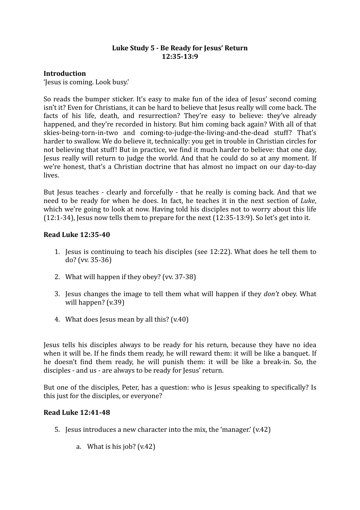## Luke Study 5 - Be Ready for Jesus' Return **12:35-13:9**

# **Introduction**

'Jesus is coming. Look busy.'

So reads the bumper sticker. It's easy to make fun of the idea of Jesus' second coming isn't it? Even for Christians, it can be hard to believe that Jesus really will come back. The facts of his life, death, and resurrection? They're easy to believe: they've already happened, and they're recorded in history. But him coming back again? With all of that skies-being-torn-in-two and coming-to-judge-the-living-and-the-dead stuff? That's harder to swallow. We do believe it, technically: you get in trouble in Christian circles for not believing that stuff! But in practice, we find it much harder to believe: that one day, Jesus really will return to judge the world. And that he could do so at any moment. If we're honest, that's a Christian doctrine that has almost no impact on our day-to-day lives.

But Jesus teaches - clearly and forcefully - that he really is coming back. And that we need to be ready for when he does. In fact, he teaches it in the next section of *Luke*, which we're going to look at now. Having told his disciples not to worry about this life  $(12:1-34)$ , Jesus now tells them to prepare for the next  $(12:35-13:9)$ . So let's get into it.

## **Read Luke 12:35-40**

- 1. Jesus is continuing to teach his disciples (see  $12:22$ ). What does he tell them to do? (vv. 35-36)
- 2. What will happen if they obey? (vv. 37-38)
- 3. Jesus changes the image to tell them what will happen if they *don't* obey. What will happen? (v.39)
- 4. What does Jesus mean by all this?  $(v.40)$

Jesus tells his disciples always to be ready for his return, because they have no idea when it will be. If he finds them ready, he will reward them: it will be like a banquet. If he doesn't find them ready, he will punish them: it will be like a break-in. So, the disciples - and us - are always to be ready for Jesus' return.

But one of the disciples, Peter, has a question: who is Jesus speaking to specifically? Is this just for the disciples, or everyone?

## **Read Luke 12:41-48**

- 5. Jesus introduces a new character into the mix, the 'manager.'  $(v.42)$ 
	- a. What is his job?  $(v.42)$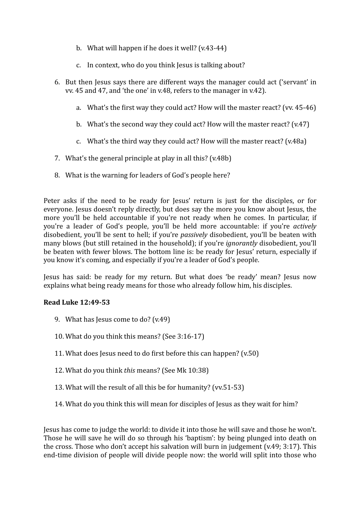- b. What will happen if he does it well?  $(v.43-44)$
- c. In context, who do you think lesus is talking about?
- 6. But then Jesus says there are different ways the manager could act ('servant' in vv. 45 and 47, and 'the one' in v.48, refers to the manager in v.42).
	- a. What's the first way they could act? How will the master react? (vv. 45-46)
	- b. What's the second way they could act? How will the master react?  $(v.47)$
	- c. What's the third way they could act? How will the master react?  $(v.48a)$
- 7. What's the general principle at play in all this?  $(v.48b)$
- 8. What is the warning for leaders of God's people here?

Peter asks if the need to be ready for Jesus' return is just for the disciples, or for everyone. Jesus doesn't reply directly, but does say the more you know about Jesus, the more you'll be held accountable if you're not ready when he comes. In particular, if you're a leader of God's people, you'll be held more accountable: if you're *actively* disobedient, you'll be sent to hell; if you're *passively* disobedient, you'll be beaten with many blows (but still retained in the household); if you're *ignorantly* disobedient, you'll be beaten with fewer blows. The bottom line is: be ready for Jesus' return, especially if you know it's coming, and especially if you're a leader of God's people.

Jesus has said: be ready for my return. But what does 'be ready' mean? Jesus now explains what being ready means for those who already follow him, his disciples.

## **Read Luke 12:49-53**

- 9. What has Jesus come to do?  $(v.49)$
- 10. What do you think this means? (See  $3:16-17$ )
- 11. What does Jesus need to do first before this can happen?  $(v.50)$
- 12. What do you think *this* means? (See Mk 10:38)
- 13. What will the result of all this be for humanity? (vv.51-53)
- 14. What do you think this will mean for disciples of lesus as they wait for him?

Iesus has come to judge the world: to divide it into those he will save and those he won't. Those he will save he will do so through his 'baptism': by being plunged into death on the cross. Those who don't accept his salvation will burn in judgement  $(v.49; 3:17)$ . This end-time division of people will divide people now: the world will split into those who